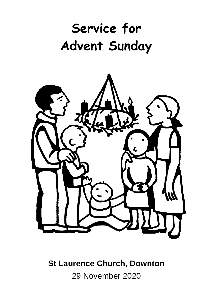# **Service for Advent Sunday**



**St Laurence Church, Downton** 29 November 2020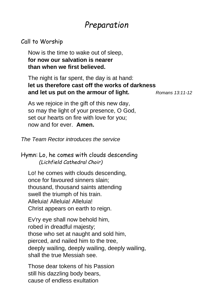# *Preparation*

#### Call to Worship

Now is the time to wake out of sleep, **for now our salvation is nearer than when we first believed.**

The night is far spent, the day is at hand: **let us therefore cast off the works of darkness and let us put on the armour of light.** *Romans 13:11-12*

As we rejoice in the gift of this new day, so may the light of your presence, O God, set our hearts on fire with love for you; now and for ever. **Amen.**

*The Team Rector introduces the service*

Hymn: Lo, he comes with clouds descending *(Lichfield Cathedral Choir)*

Lo! he comes with clouds descending, once for favoured sinners slain; thousand, thousand saints attending swell the triumph of his train. Alleluia! Alleluia! Alleluia! Christ appears on earth to reign.

Ev'ry eye shall now behold him, robed in dreadful majesty; those who set at naught and sold him, pierced, and nailed him to the tree, deeply wailing, deeply wailing, deeply wailing, shall the true Messiah see.

Those dear tokens of his Passion still his dazzling body bears, cause of endless exultation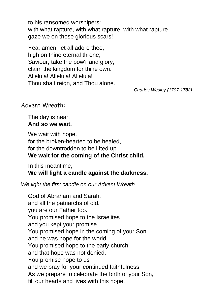to his ransomed worshipers: with what rapture, with what rapture, with what rapture gaze we on those glorious scars!

Yea, amen! let all adore thee, high on thine eternal throne: Saviour, take the pow'r and glory, claim the kingdom for thine own. Alleluia! Alleluia! Alleluia! Thou shalt reign, and Thou alone.

*Charles Wesley (1707-1788)*

Advent Wreath:

The day is near. **And so we wait.**

We wait with hope, for the broken-hearted to be healed, for the downtrodden to be lifted up. **We wait for the coming of the Christ child.**

In this meantime, **We will light a candle against the darkness.**

*We light the first candle on our Advent Wreath.*

God of Abraham and Sarah, and all the patriarchs of old, you are our Father too. You promised hope to the Israelites and you kept your promise. You promised hope in the coming of your Son and he was hope for the world. You promised hope to the early church and that hope was not denied. You promise hope to us and we pray for your continued faithfulness. As we prepare to celebrate the birth of your Son, fill our hearts and lives with this hope.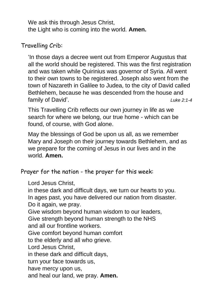We ask this through Jesus Christ, the Light who is coming into the world. **Amen.**

#### Travelling Crib:

'In those days a decree went out from Emperor Augustus that all the world should be registered. This was the first registration and was taken while Quirinius was governor of Syria. All went to their own towns to be registered. Joseph also went from the town of Nazareth in Galilee to Judea, to the city of David called Bethlehem, because he was descended from the house and family of David'. *Luke 2:1-4*

This Travelling Crib reflects our own journey in life as we search for where we belong, our true home - which can be found, of course, with God alone.

May the blessings of God be upon us all, as we remember Mary and Joseph on their journey towards Bethlehem, and as we prepare for the coming of Jesus in our lives and in the world. **Amen.**

Prayer for the nation - the prayer for this week:

Lord Jesus Christ,

in these dark and difficult days, we turn our hearts to you. In ages past, you have delivered our nation from disaster. Do it again, we pray. Give wisdom beyond human wisdom to our leaders, Give strength beyond human strength to the NHS and all our frontline workers. Give comfort beyond human comfort to the elderly and all who grieve. Lord Jesus Christ, in these dark and difficult days, turn your face towards us, have mercy upon us, and heal our land, we pray. **Amen.**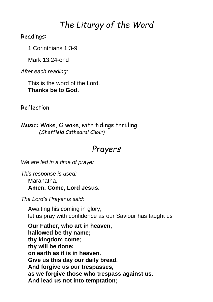# *The Liturgy of the Word*

Readings:

1 Corinthians 1:3-9

Mark 13:24-end

*After each reading:*

This is the word of the Lord. **Thanks be to God.**

Reflection

Music: Wake, O wake, with tidings thrilling *(Sheffield Cathedral Choir)*

## *Prayers*

*We are led in a time of prayer*

*This response is used:* Maranatha, **Amen. Come, Lord Jesus.**

*The Lord's Prayer is said:*

Awaiting his coming in glory, let us pray with confidence as our Saviour has taught us

**Our Father, who art in heaven, hallowed be thy name; thy kingdom come; thy will be done; on earth as it is in heaven. Give us this day our daily bread. And forgive us our trespasses, as we forgive those who trespass against us. And lead us not into temptation;**